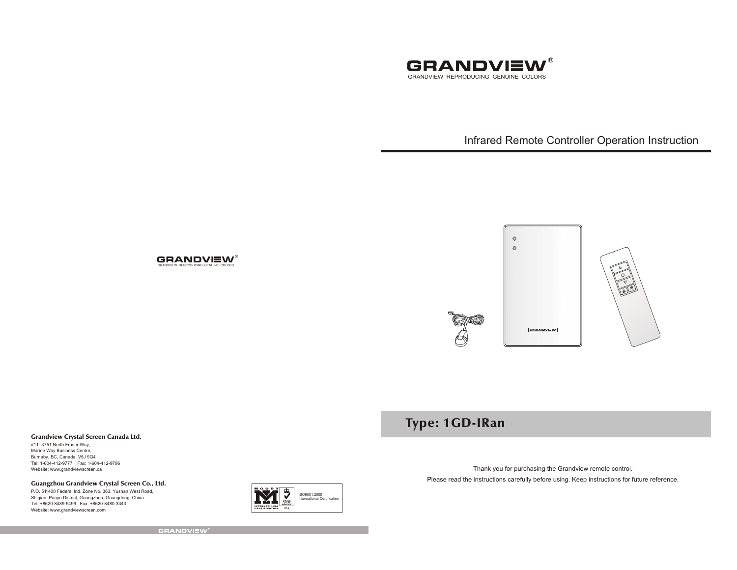

Infrared Remote Controller Operation Instruction



# Type: 1GD-IRan

Grandview Crystal Screen Canada Ltd.

#11- 3751 North Fraser Way, Marine Way Business Centre, Burnaby, BC, Canada V5J 5G4 Tel: 1-604-412-9777 Fax: 1-604-412-9796 Website: www.grandviewscreen.ca

# Guangzhou Grandview Crystal Screen Co., Ltd.

P.O. 511400 Federal Ind. Zone No. 363, Yushan West Road, Shiqiao, Panyu District, Guangzhou, Guangdong, China Tel: +8620-8489-9499 Fax: +8620-8480-3343Website: www.grandviewscreen.com



Thank you for purchasing the Grandview remote control. Please read the instructions carefully before using. Keep instructions for future reference.

**GRANDVIEW**\*

**GRANDVIEW®** GRANDVIEW REPRODUCING GENUINE COLORS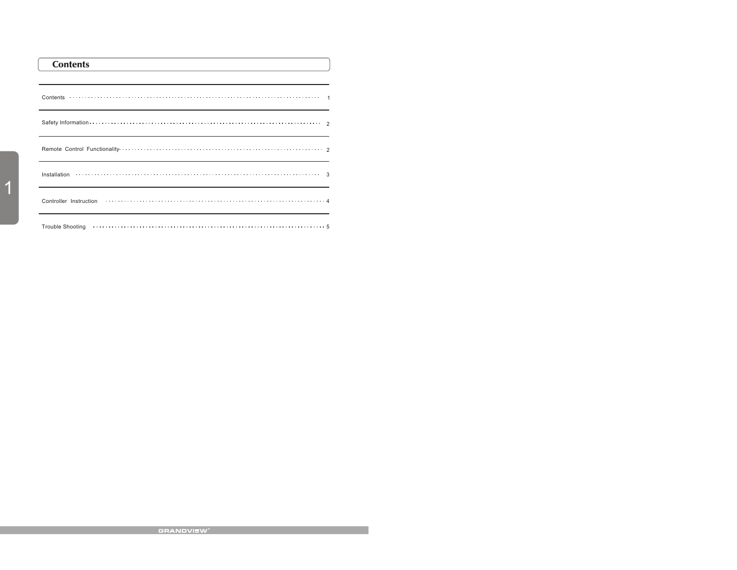| <b>Contents</b><br>the control of the control of the control of the control of the control of the control of the control of the control of the control of the control of the control of the control of the control of the control of the control |  |
|--------------------------------------------------------------------------------------------------------------------------------------------------------------------------------------------------------------------------------------------------|--|
|                                                                                                                                                                                                                                                  |  |
|                                                                                                                                                                                                                                                  |  |
| Safety Information $\cdots$ $\cdots$ $\cdots$ $\cdots$ $\cdots$ $\cdots$ $\cdots$ $\cdots$ $\cdots$ $\cdots$ $\cdots$ $\cdots$ $\cdots$ $\cdots$ $\cdots$                                                                                        |  |
|                                                                                                                                                                                                                                                  |  |
|                                                                                                                                                                                                                                                  |  |
| Controller Instruction                                                                                                                                                                                                                           |  |
| Trouble Shooting (and the content of the content of the content of the shooting of the state of the state of the state of the state of the state of the state of the state of the state of the state of the state of the state                   |  |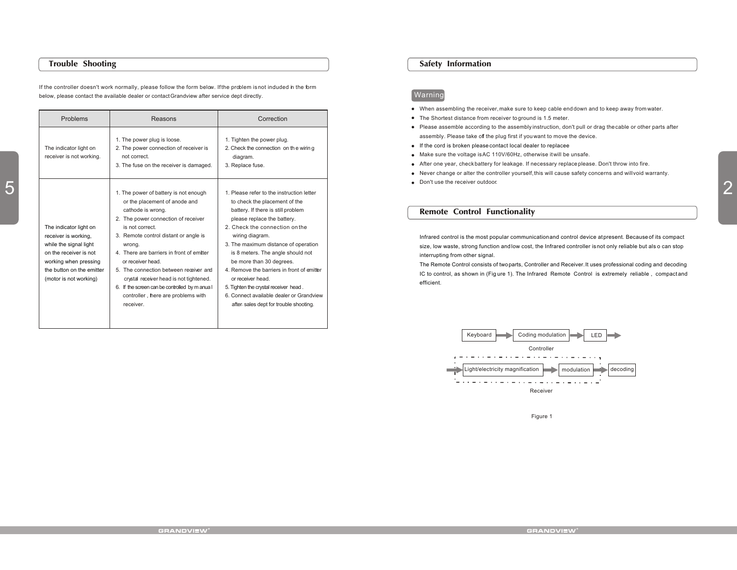## Trouble Shooting

If the controller doesn't work normally, please follow the form below. If the problem is not induded in the form below, please contact the available dealer or contact Grandview after service dept directly.

| Problems<br>The indicator light on<br>receiver is not working.                                                                                                                     | Reasons<br>1. The power plug is loose.<br>2. The power connection of receiver is<br>not correct.<br>3. The fuse on the receiver is damaged.                                                                                                                                                                                                                                                                                                                           | Correction<br>. Tighten the power plug.<br>2. Check the connection on the wiring<br>diagram.<br>3. Replace fuse.                                                                                                                                                                                                                                                                                                                                                                                               |
|------------------------------------------------------------------------------------------------------------------------------------------------------------------------------------|-----------------------------------------------------------------------------------------------------------------------------------------------------------------------------------------------------------------------------------------------------------------------------------------------------------------------------------------------------------------------------------------------------------------------------------------------------------------------|----------------------------------------------------------------------------------------------------------------------------------------------------------------------------------------------------------------------------------------------------------------------------------------------------------------------------------------------------------------------------------------------------------------------------------------------------------------------------------------------------------------|
| The indicator light on<br>receiver is working,<br>while the signal light<br>on the receiver is not<br>working when pressing<br>the button on the emitter<br>(motor is not working) | 1. The power of battery is not enough<br>or the placement of anode and<br>cathode is wrong.<br>2. The power connection of receiver<br>is not correct.<br>3. Remote control distant or angle is<br>wrong.<br>4. There are barriers in front of emitter<br>or receiver head.<br>5. The connection between receiver and<br>crystal receiver head is not tightened.<br>6. If the screen can be controlled by m anua I<br>controller, there are problems with<br>receiver. | . Please refer to the instruction letter<br>to check the placement of the<br>battery. If there is still problem<br>please replace the battery.<br>2. Check the connection on the<br>wiring diagram.<br>3. The maximum distance of operation<br>is 8 meters. The angle should not<br>be more than 30 degrees.<br>4. Remove the barriers in front of emitter<br>or receiver head.<br>5. Tighten the crystal receiver head.<br>6. Connect available dealer or Grandview<br>after-sales dept for trouble shooting. |

#### Safety Information

# Warning

- When assembling the receiver, make sure to keep cable end down and to keep away from water.
- The Shortest distance from receiver to ground is 1.5 meter.
- Please assemble according to the assembly instruction, don't pull or drag the cable or other parts after assembly. Please take off the plug first if you want to move the device.
- If the cord is broken please contact local dealer to replacee
- Make sure the voltage is AC 110V/60Hz, otherwise it will be unsafe.
- After one year, check battery for leakage. If necessary replace please. Don't throw into fire.
- Never change or alter the controller yourself, this will cause safety concerns and will void warranty.
- Don't use the receiver outdoor.

#### Remote Control Functionality



Figure 1